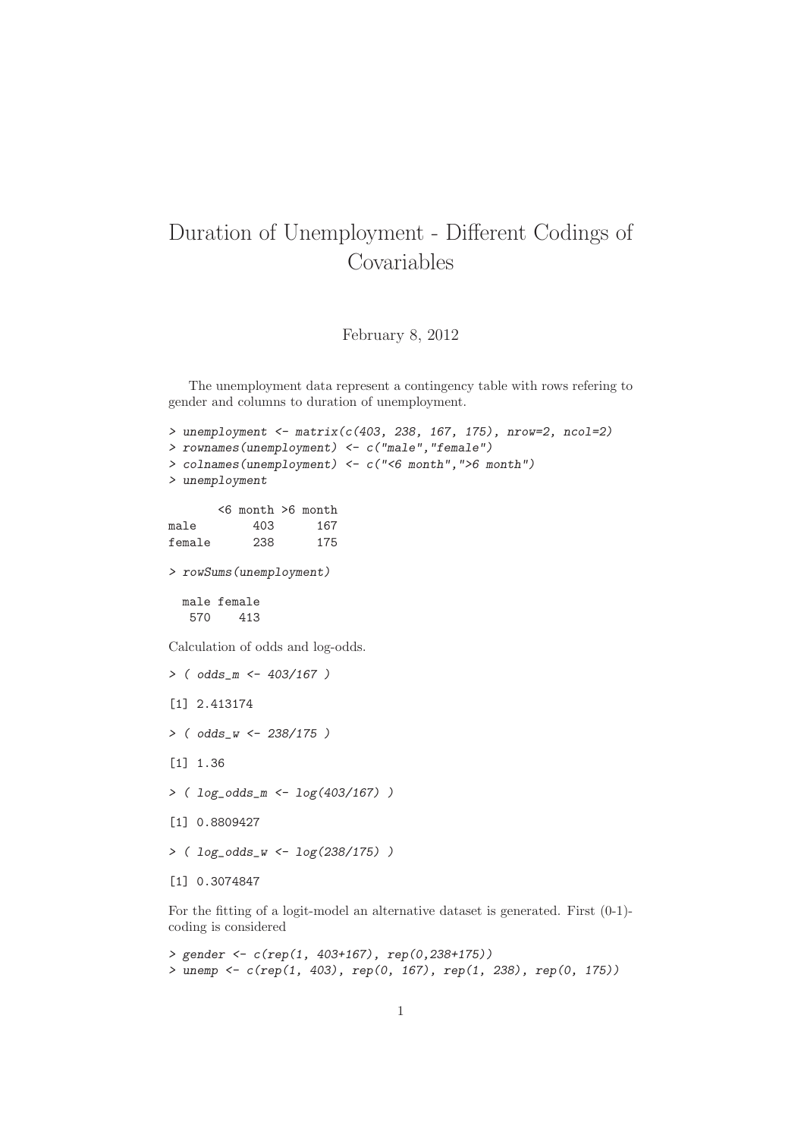## Duration of Unemployment - Different Codings of Covariables

February 8, 2012

The unemployment data represent a contingency table with rows refering to gender and columns to duration of unemployment.

```
> unemployment <- matrix(c(403, 238, 167, 175), nrow=2, ncol=2)
> rownames(unemployment) <- c("male","female")
> colnames(unemployment) <- c("<6 month",">6 month")
> unemployment
       <6 month >6 month
male 403 167
female 238 175
> rowSums(unemployment)
 male female
  570 413
Calculation of odds and log-odds.
> ( odds_m <- 403/167 )
[1] 2.413174
> ( odds_w <- 238/175 )
[1] 1.36
> ( log\_odds_m <- log(403/167) )
[1] 0.8809427
> ( log_odds_w <- log(238/175) )
[1] 0.3074847
```
For the fitting of a logit-model an alternative dataset is generated. First (0-1) coding is considered

```
> gender <- c(rep(1, 403+167), rep(0,238+175))
> unemp <- c(rep(1, 403), rep(0, 167), rep(1, 238), rep(0, 175))
```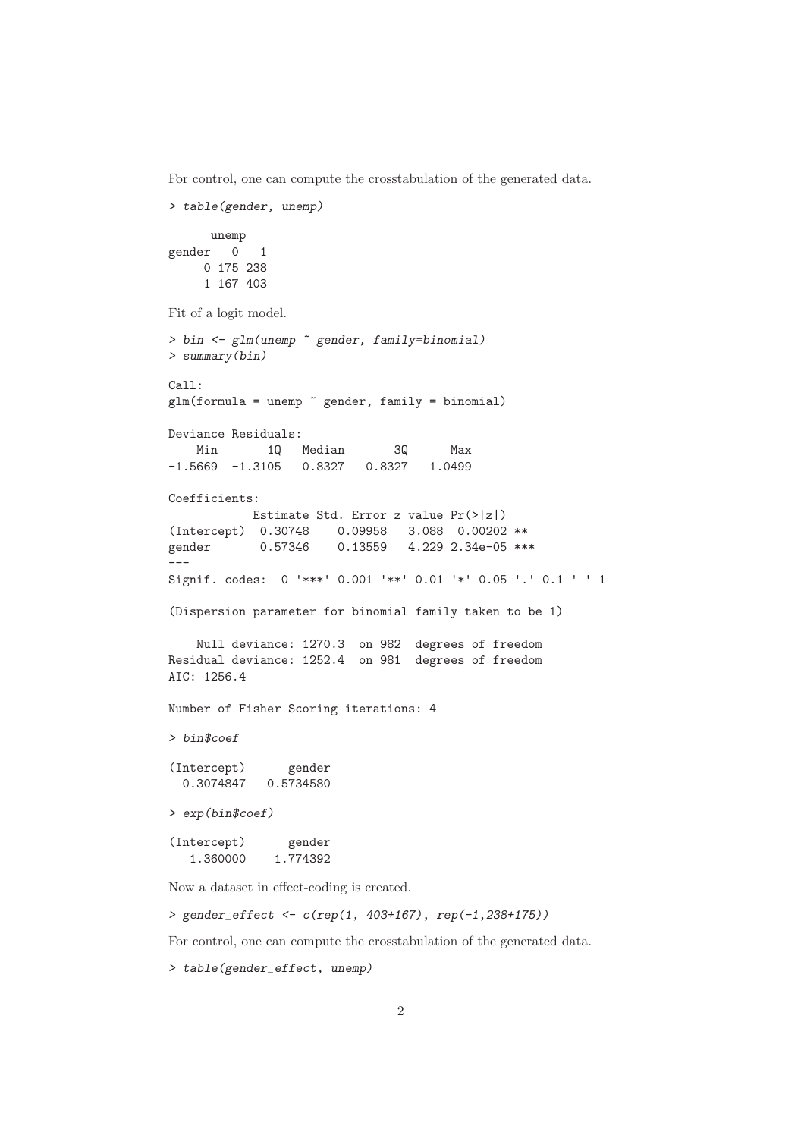For control, one can compute the crosstabulation of the generated data.

```
> table(gender, unemp)
     unemp
gender 0 1
    0 175 238
    1 167 403
Fit of a logit model.
> bin <- glm(unemp ~ gender, family=binomial)
> summary(bin)
Call:
glm(formula = unemp \tilde{ } gender, family = binomial)
Deviance Residuals:
   Min 1Q Median 3Q Max
-1.5669 -1.3105 0.8327 0.8327 1.0499
Coefficients:
          Estimate Std. Error z value Pr(>|z|)
(Intercept) 0.30748 0.09958 3.088 0.00202 **
gender 0.57346 0.13559 4.229 2.34e-05 ***
---
Signif. codes: 0 '***' 0.001 '**' 0.01 '*' 0.05 '.' 0.1 ' ' 1
(Dispersion parameter for binomial family taken to be 1)
   Null deviance: 1270.3 on 982 degrees of freedom
Residual deviance: 1252.4 on 981 degrees of freedom
AIC: 1256.4
Number of Fisher Scoring iterations: 4
> bin$coef
(Intercept) gender
  0.3074847 0.5734580
> exp(bin$coef)
(Intercept) gender
   1.360000 1.774392
Now a dataset in effect-coding is created.
```
> gender\_effect <- c(rep(1, 403+167), rep(-1,238+175))

For control, one can compute the crosstabulation of the generated data.

> table(gender\_effect, unemp)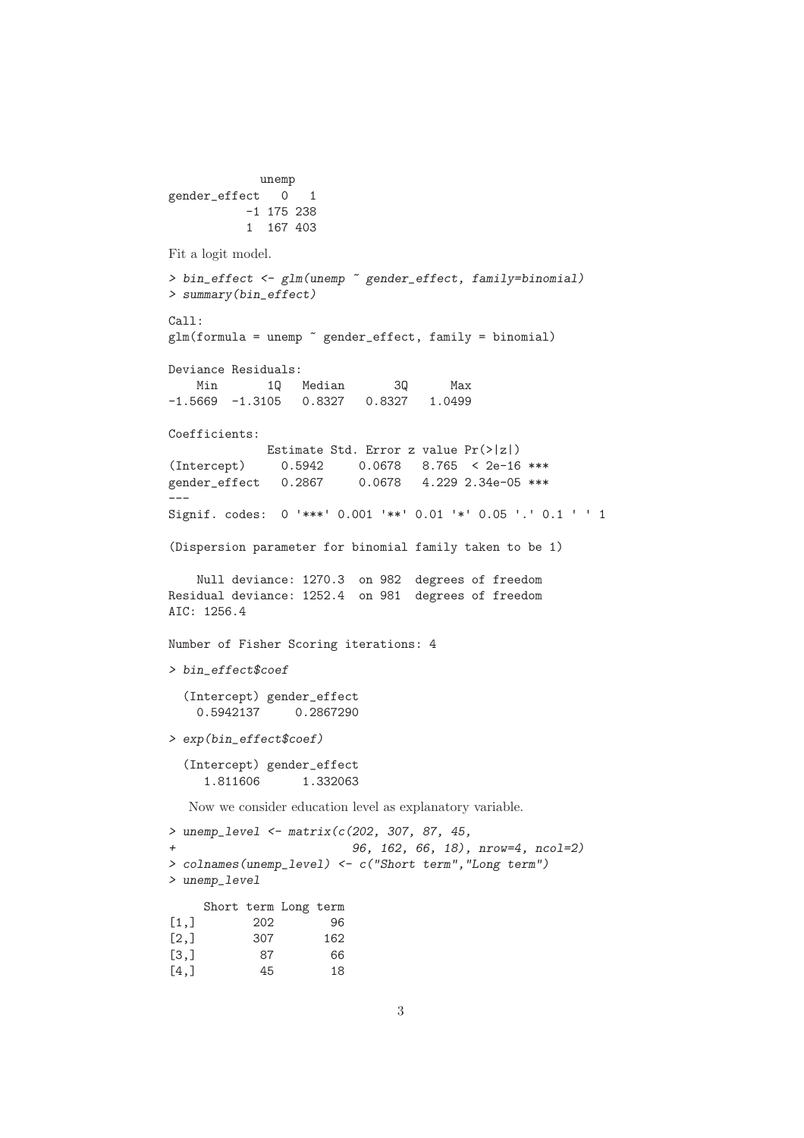```
unemp
gender_effect 0 1
          -1 175 238
          1 167 403
Fit a logit model.
> bin_effect <- glm(unemp ~ gender_effect, family=binomial)
> summary(bin_effect)
Call:
glm(formula = unemp \tilde{g} gender_effect, family = binomial)
Deviance Residuals:
   Min 1Q Median 3Q Max
-1.5669 -1.3105 0.8327 0.8327 1.0499
Coefficients:
            Estimate Std. Error z value Pr(>|z|)
(Intercept) 0.5942 0.0678 8.765 < 2e-16 ***
gender_effect 0.2867 0.0678 4.229 2.34e-05 ***
---
Signif. codes: 0 '***' 0.001 '**' 0.01 '*' 0.05 '.' 0.1 ' ' 1
(Dispersion parameter for binomial family taken to be 1)
   Null deviance: 1270.3 on 982 degrees of freedom
Residual deviance: 1252.4 on 981 degrees of freedom
AIC: 1256.4
Number of Fisher Scoring iterations: 4
> bin_effect$coef
  (Intercept) gender_effect
   0.5942137 0.2867290
> exp(bin_effect$coef)
  (Intercept) gender_effect
    1.811606 1.332063
  Now we consider education level as explanatory variable.
> unemp_level <- matrix(c(202, 307, 87, 45,
+ 96, 162, 66, 18), nrow=4, ncol=2)
> colnames(unemp_level) <- c("Short term","Long term")
> unemp_level
    Short term Long term
[1,] 202 96
[2,] 307 162
[3,] 87 66
```
[4,] 45 18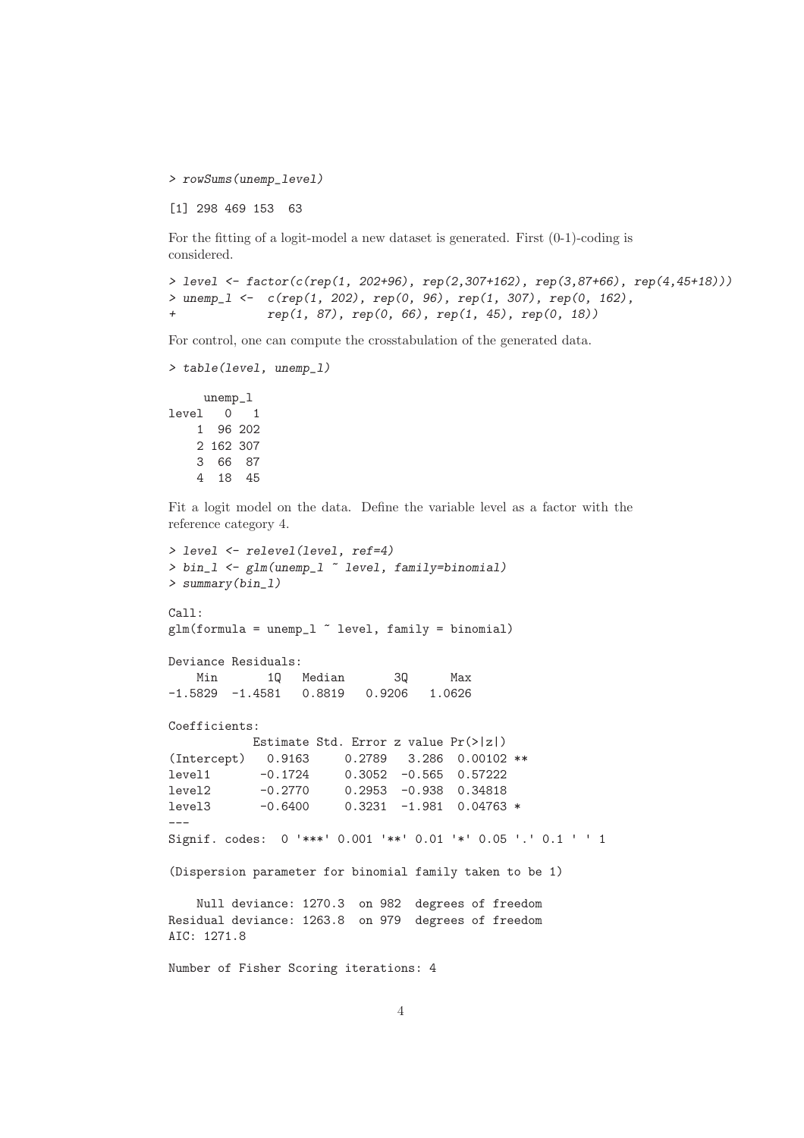> rowSums(unemp\_level)

[1] 298 469 153 63

For the fitting of a logit-model a new dataset is generated. First (0-1)-coding is considered.

```
> level <- factor(c(rep(1, 202+96), rep(2,307+162), rep(3,87+66), rep(4,45+18)))
> unemp_l <- c(rep(1, 202), rep(0, 96), rep(1, 307), rep(0, 162),
+ rep(1, 87), rep(0, 66), rep(1, 45), rep(0, 18))
```
For control, one can compute the crosstabulation of the generated data.

```
> table(level, unemp_l)
    unemp_l
```
level 0 1 1 96 202 2 162 307 3 66 87 4 18 45

Fit a logit model on the data. Define the variable level as a factor with the reference category 4.

```
> level <- relevel(level, ref=4)
> bin_l <- glm(unemp_l ~ level, family=binomial)
> summary(bin_l)
Call:
glm(formula = unemp_l \sim level, family = binomial)Deviance Residuals:
   Min 1Q Median 3Q Max
-1.5829 -1.4581 0.8819 0.9206 1.0626
Coefficients:
          Estimate Std. Error z value Pr(>|z|)
(Intercept) 0.9163 0.2789 3.286 0.00102 **
level1 -0.1724 0.3052 -0.565 0.57222
level2 -0.2770 0.2953 -0.938 0.34818
level3 -0.6400 0.3231 -1.981 0.04763 *
---
Signif. codes: 0 '***' 0.001 '**' 0.01 '*' 0.05 '.' 0.1 ' ' 1
(Dispersion parameter for binomial family taken to be 1)
   Null deviance: 1270.3 on 982 degrees of freedom
Residual deviance: 1263.8 on 979 degrees of freedom
AIC: 1271.8
Number of Fisher Scoring iterations: 4
```